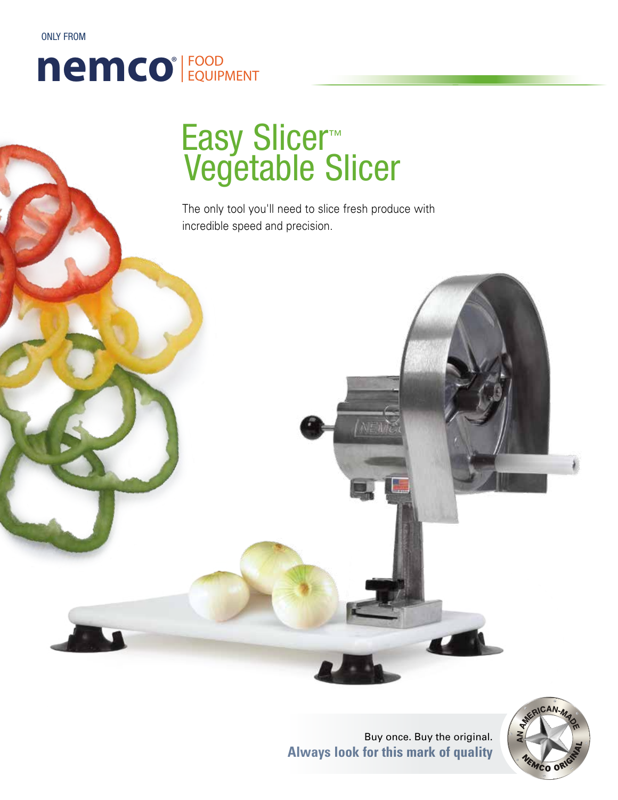ONLY FROM

### nemco<sup>®</sup> FOOD ®

# Easy Slicer™ Vegetable Slicer

The only tool you'll need to slice fresh produce with incredible speed and precision.